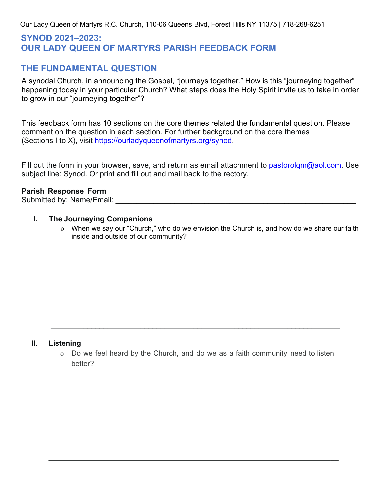Our Lady Queen of Martyrs R.C. Church, 110-06 Queens Blvd, Forest Hills NY 11375 | 718-268-6251

# **SYNOD 2021–2023: OUR LADY QUEEN OF MARTYRS PARISH FEEDBACK FORM**

# **THE FUNDAMENTAL QUESTION**

A synodal Church, in announcing the Gospel, "journeys together." How is this "journeying together" happening today in your particular Church? What steps does the Holy Spirit invite us to take in order to grow in our "journeying together"?

This feedback form has 10 sections on the core themes related the fundamental question. Please comment on the question in each section. For further background on the core themes (Sections I to X), visit [https://ourladyqueenofmartyrs.org/synod.](https://ourladyqueenofmartyrs.org/synod)

Fill out the form in your browser, save, and return as email attachment to pastorolgm@aol.com. Use [subject line: Synod. Or](mailto:pastorolqm@aol.com) print and fill out and mail back to the rectory.

#### **Parish Response Form**

Submitted by: Name/Email: \_\_\_\_\_\_\_\_\_\_\_\_\_\_\_\_\_\_\_\_\_\_\_\_\_\_\_\_\_\_\_\_\_\_\_\_\_\_\_\_\_\_\_\_\_\_\_\_\_\_\_\_\_\_\_\_\_

#### **I. The Journeying Companions**

o When we say our "Church," who do we envision the Church is, and how do we share our faith inside and outside of our community?

#### **II. Listening**

o Do we feel heard by the Church, and do we as a faith community need to listen better?

\_\_\_\_\_\_\_\_\_\_\_\_\_\_\_\_\_\_\_\_\_\_\_\_\_\_\_\_\_\_\_\_\_\_\_\_\_\_\_\_\_\_\_\_\_\_\_\_\_\_\_\_\_\_\_\_\_\_\_\_\_\_\_\_\_\_\_\_\_\_\_\_

\_\_\_\_\_\_\_\_\_\_\_\_\_\_\_\_\_\_\_\_\_\_\_\_\_\_\_\_\_\_\_\_\_\_\_\_\_\_\_\_\_\_\_\_\_\_\_\_\_\_\_\_\_\_\_\_\_\_\_\_\_\_\_\_\_\_\_\_\_\_\_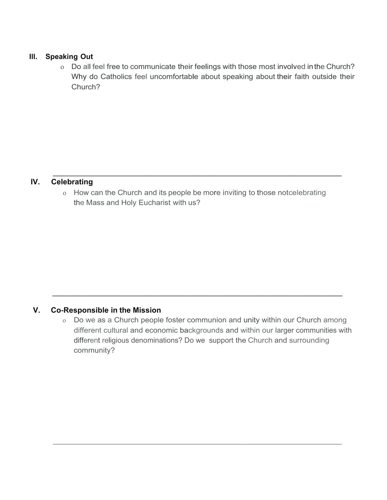#### **Ill. Speaking Out**

o Do all feel free to communicate their feelings with those most involved inthe Church? Why do Catholics feel uncomfortable about speaking about their faith outside their Church?

# **IV. Celebrating**

o How can the Church and its people be more inviting to those notcelebrating the Mass and Holy Eucharist with us?

\_\_\_\_\_\_\_\_\_\_\_\_\_\_\_\_\_\_\_\_\_\_\_\_\_\_\_\_\_\_\_\_\_\_\_\_\_\_\_\_\_\_\_\_\_\_\_\_\_\_\_\_\_\_\_\_\_\_\_\_\_\_\_\_\_\_\_\_

### **V. Co-Responsible in the Mission**

o Do we as a Church people foster communion and unity within our Church among different cultural and economic backgrounds and within our larger communities with different religious denominations? Do we support the Church and surrounding community?

\_\_\_\_\_\_\_\_\_\_\_\_\_\_\_\_\_\_\_\_\_\_\_\_\_\_\_\_\_\_\_\_\_\_\_\_\_\_\_\_\_\_\_\_\_\_\_\_\_\_\_\_\_\_\_\_\_\_\_\_\_\_\_\_\_\_\_\_\_

 $\_$  ,  $\_$  ,  $\_$  ,  $\_$  ,  $\_$  ,  $\_$  ,  $\_$  ,  $\_$  ,  $\_$  ,  $\_$  ,  $\_$  ,  $\_$  ,  $\_$  ,  $\_$  ,  $\_$  ,  $\_$  ,  $\_$  ,  $\_$  ,  $\_$  ,  $\_$  ,  $\_$  ,  $\_$  ,  $\_$  ,  $\_$  ,  $\_$  ,  $\_$  ,  $\_$  ,  $\_$  ,  $\_$  ,  $\_$  ,  $\_$  ,  $\_$  ,  $\_$  ,  $\_$  ,  $\_$  ,  $\_$  ,  $\_$  ,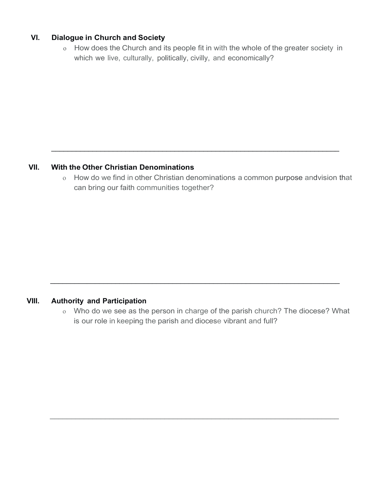## **VI. Dialogue in Church and Society**

o How does the Church and its people fit in with the whole of the greater society in which we live, culturally, politically, civilly, and economically?

### **VII. With the Other Christian Denominations**

o How do we find in other Christian denominations a common purpose and vision that can bring our faith communities together?

\_\_\_\_\_\_\_\_\_\_\_\_\_\_\_\_\_\_\_\_\_\_\_\_\_\_\_\_\_\_\_\_\_\_\_\_\_\_\_\_\_\_\_\_\_\_\_\_\_\_\_\_\_\_\_\_\_\_\_\_\_\_\_\_\_\_\_\_\_\_

### **VIII. Authority and Participation**

o Who do we see as the person in charge of the parish church? The diocese? What is our role in keeping the parish and diocese vibrant and full?

\_\_\_\_\_\_\_\_\_\_\_\_\_\_\_\_\_\_\_\_\_\_\_\_\_\_\_\_\_\_\_\_\_\_\_\_\_\_\_\_\_\_\_\_\_\_\_\_\_\_\_\_\_\_\_\_\_\_\_\_\_\_\_\_\_\_\_\_\_\_\_

 $\overline{a_1}$  ,  $\overline{a_2}$  ,  $\overline{a_3}$  ,  $\overline{a_4}$  ,  $\overline{a_5}$  ,  $\overline{a_6}$  ,  $\overline{a_7}$  ,  $\overline{a_8}$  ,  $\overline{a_9}$  ,  $\overline{a_9}$  ,  $\overline{a_9}$  ,  $\overline{a_9}$  ,  $\overline{a_9}$  ,  $\overline{a_9}$  ,  $\overline{a_9}$  ,  $\overline{a_9}$  ,  $\overline{a_9}$  ,